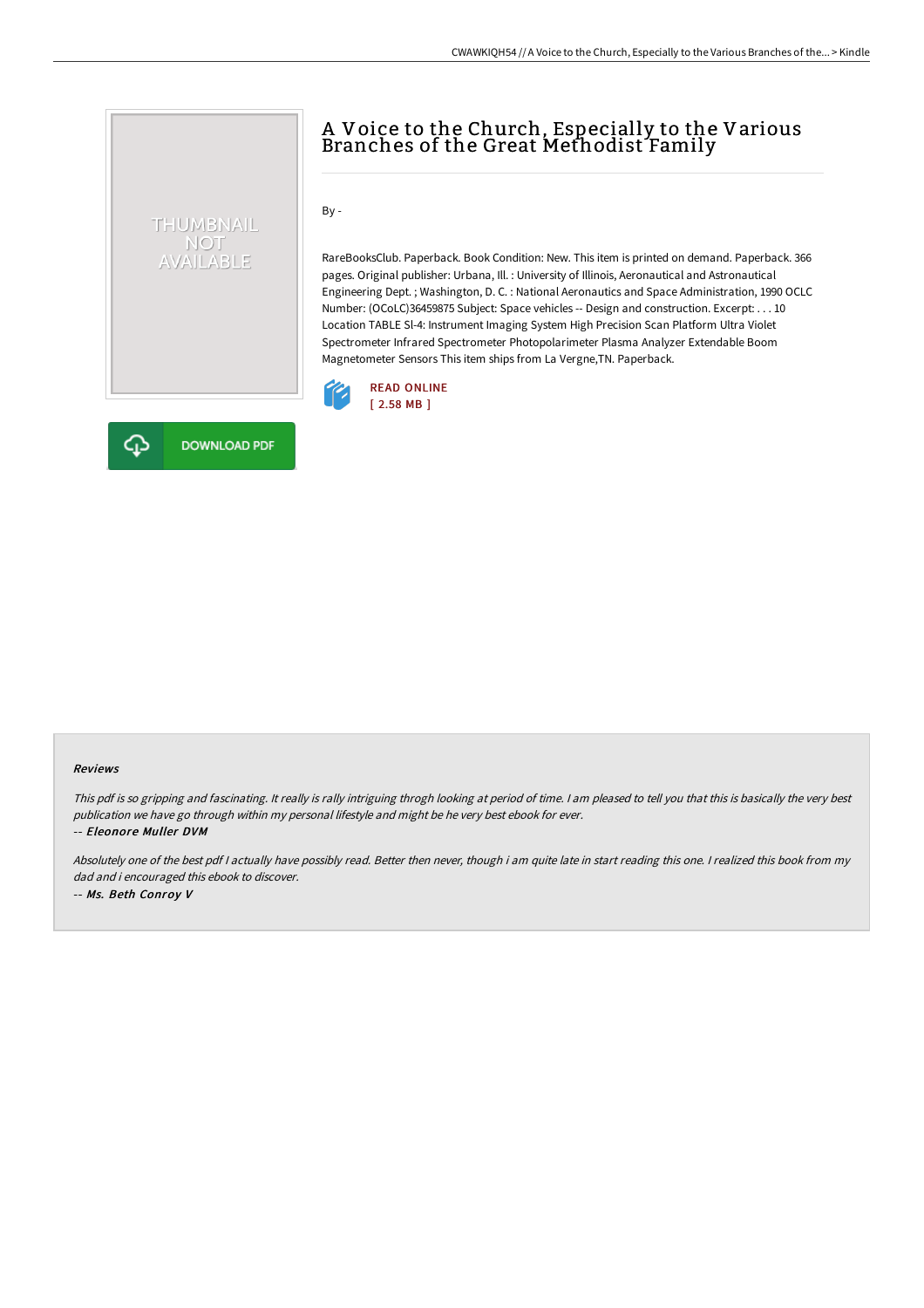## THUMBNAIL NOT<br>AVAILABLE

## A Voice to the Church, Especially to the Various Branches of the Great Methodist Family

 $By -$ 

RareBooksClub. Paperback. Book Condition: New. This item is printed on demand. Paperback. 366 pages. Original publisher: Urbana, Ill. : University of Illinois, Aeronautical and Astronautical Engineering Dept. ; Washington, D. C. : National Aeronautics and Space Administration, 1990 OCLC Number: (OCoLC)36459875 Subject: Space vehicles -- Design and construction. Excerpt: . . . 10 Location TABLE Sl-4: Instrument Imaging System High Precision Scan Platform Ultra Violet Spectrometer Infrared Spectrometer Photopolarimeter Plasma Analyzer Extendable Boom Magnetometer Sensors This item ships from La Vergne,TN. Paperback.





## Reviews

This pdf is so gripping and fascinating. It really is rally intriguing throgh looking at period of time. <sup>I</sup> am pleased to tell you that this is basically the very best publication we have go through within my personal lifestyle and might be he very best ebook for ever.

-- Eleonore Muller DVM

Absolutely one of the best pdf <sup>I</sup> actually have possibly read. Better then never, though i am quite late in start reading this one. <sup>I</sup> realized this book from my dad and i encouraged this ebook to discover. -- Ms. Beth Conroy V